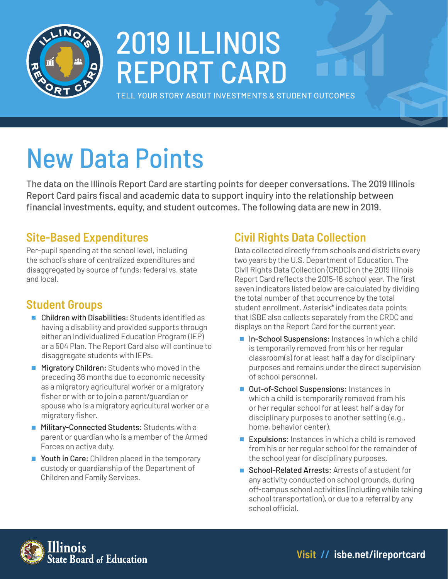

# 2019 ILLINOIS REPORT CARD

TELL YOUR STORY ABOUT INVESTMENTS & STUDENT OUTCOMES

# New Data Points

The data on the Illinois Report Card are starting points for deeper conversations. The 2019 Illinois Report Card pairs fiscal and academic data to support inquiry into the relationship between financial investments, equity, and student outcomes. The following data are new in 2019.

### **Site-Based Expenditures**

Per-pupil spending at the school level, including the school's share of centralized expenditures and disaggregated by source of funds: federal vs. state and local.

### **Student Groups**

- Children with Disabilities: Students identified as having a disability and provided supports through either an Individualized Education Program (IEP) or a 504 Plan. The Report Card also will continue to disaggregate students with IEPs.
- **Migratory Children:** Students who moved in the preceding 36 months due to economic necessity as a migratory agricultural worker or a migratory fisher or with or to join a parent/guardian or spouse who is a migratory agricultural worker or a migratory fisher.
- **Military-Connected Students: Students with a** parent or guardian who is a member of the Armed Forces on active duty.
- Youth in Care: Children placed in the temporary custody or guardianship of the Department of Children and Family Services.

## **Civil Rights Data Collection**

Data collected directly from schools and districts every two years by the U.S. Department of Education. The Civil Rights Data Collection (CRDC) on the 2019 Illinois Report Card reflects the 2015-16 school year. The first seven indicators listed below are calculated by dividing the total number of that occurrence by the total student enrollment. Asterisk\* indicates data points that ISBE also collects separately from the CRDC and displays on the Report Card for the current year.

- In-School Suspensions: Instances in which a child is temporarily removed from his or her regular classroom(s) for at least half a day for disciplinary purposes and remains under the direct supervision of school personnel.
- Out-of-School Suspensions: Instances in which a child is temporarily removed from his or her regular school for at least half a day for disciplinary purposes to another setting (e.g., home, behavior center).
- **Expulsions:** Instances in which a child is removed from his or her regular school for the remainder of the school year for disciplinary purposes.
- School-Related Arrests: Arrests of a student for any activity conducted on school grounds, during off-campus school activities (including while taking school transportation), or due to a referral by any school official.